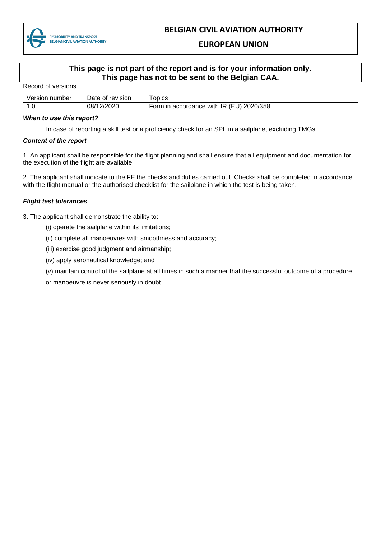

### **EUROPEAN UNION**

## **This page is not part of the report and is for your information only. This page has not to be sent to the Belgian CAA.**

| <u>INGLUIU UI VEISIUIIS</u> |                  |                                          |
|-----------------------------|------------------|------------------------------------------|
| Version number              | Date of revision | $\tau$ opics                             |
|                             | 08/12/2020       | Form in accordance with IR (EU) 2020/358 |

#### *When to use this report?*

In case of reporting a skill test or a proficiency check for an SPL in a sailplane, excluding TMGs

#### *Content of the report*

Record of versions

1. An applicant shall be responsible for the flight planning and shall ensure that all equipment and documentation for the execution of the flight are available.

2. The applicant shall indicate to the FE the checks and duties carried out. Checks shall be completed in accordance with the flight manual or the authorised checklist for the sailplane in which the test is being taken.

#### *Flight test tolerances*

- 3. The applicant shall demonstrate the ability to:
	- (i) operate the sailplane within its limitations;
	- (ii) complete all manoeuvres with smoothness and accuracy;
	- (iii) exercise good judgment and airmanship;
	- (iv) apply aeronautical knowledge; and
	- (v) maintain control of the sailplane at all times in such a manner that the successful outcome of a procedure

or manoeuvre is never seriously in doubt.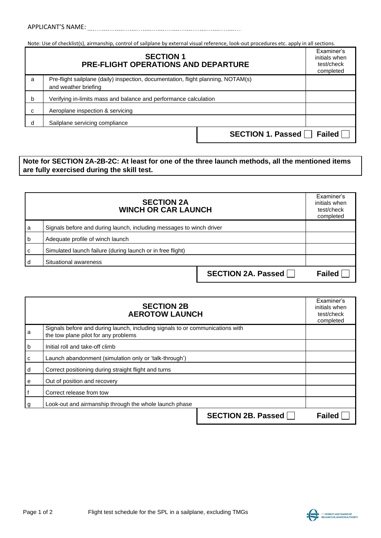Note: Use of checklist(s), airmanship, control of sailplane by external visual reference, look-out procedures etc. apply in all sections.

| <b>SECTION 1</b><br><b>PRE-FLIGHT OPERATIONS AND DEPARTURE</b> |                                                                                                           | Examiner's<br>initials when<br>test/check<br>completed |
|----------------------------------------------------------------|-----------------------------------------------------------------------------------------------------------|--------------------------------------------------------|
| a                                                              | Pre-flight sailplane (daily) inspection, documentation, flight planning, NOTAM(s)<br>and weather briefing |                                                        |
| b                                                              | Verifying in-limits mass and balance and performance calculation                                          |                                                        |
| С                                                              | Aeroplane inspection & servicing                                                                          |                                                        |
| d                                                              | Sailplane servicing compliance                                                                            |                                                        |
|                                                                | SECTION 1. Passed                                                                                         | Failed $\Box$                                          |

## **Note for SECTION 2A-2B-2C: At least for one of the three launch methods, all the mentioned items are fully exercised during the skill test.**

| <b>SECTION 2A</b><br><b>WINCH OR CAR LAUNCH</b> |                                                                      | Examiner's<br>initials when<br>test/check<br>completed |               |
|-------------------------------------------------|----------------------------------------------------------------------|--------------------------------------------------------|---------------|
| a                                               | Signals before and during launch, including messages to winch driver |                                                        |               |
| b                                               | Adequate profile of winch launch                                     |                                                        |               |
| C                                               | Simulated launch failure (during launch or in free flight)           |                                                        |               |
|                                                 | Situational awareness                                                |                                                        |               |
|                                                 |                                                                      | SECTION 2A. Passed                                     | <b>Failed</b> |

| <b>SECTION 2B</b><br><b>AEROTOW LAUNCH</b> |                                                                                                                       | Examiner's<br>initials when<br>test/check<br>completed |               |
|--------------------------------------------|-----------------------------------------------------------------------------------------------------------------------|--------------------------------------------------------|---------------|
| a                                          | Signals before and during launch, including signals to or communications with<br>the tow plane pilot for any problems |                                                        |               |
| b                                          | Initial roll and take-off climb                                                                                       |                                                        |               |
| с                                          | Launch abandonment (simulation only or 'talk-through')                                                                |                                                        |               |
| d                                          | Correct positioning during straight flight and turns                                                                  |                                                        |               |
| е                                          | Out of position and recovery                                                                                          |                                                        |               |
| . f                                        | Correct release from tow                                                                                              |                                                        |               |
| g                                          | Look-out and airmanship through the whole launch phase                                                                |                                                        |               |
|                                            |                                                                                                                       | <b>SECTION 2B. Passed</b>                              | <b>Failed</b> |